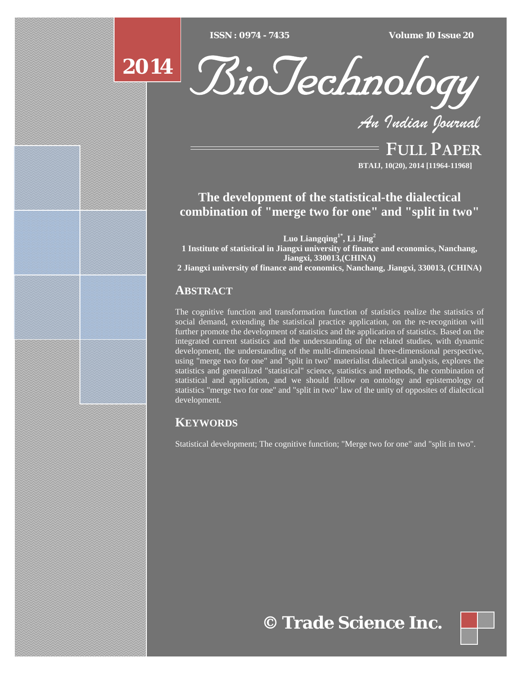$ISSN : 0974 - 7435$ 

*ISSN : 0974 - 7435 Volume 10 Issue 20*





*An Indian Journal*

FULL PAPER **BTAIJ, 10(20), 2014 [11964-11968]**

# **The development of the statistical-the dialectical combination of "merge two for one" and "split in two"**

**Luo Liangqing1\*, Li Jing2 1 Institute of statistical in Jiangxi university of finance and economics, Nanchang, Jiangxi, 330013,(CHINA) 2 Jiangxi university of finance and economics, Nanchang, Jiangxi, 330013, (CHINA)**

## **ABSTRACT**

The cognitive function and transformation function of statistics realize the statistics of social demand, extending the statistical practice application, on the re-recognition will further promote the development of statistics and the application of statistics. Based on the integrated current statistics and the understanding of the related studies, with dynamic development, the understanding of the multi-dimensional three-dimensional perspective, using "merge two for one" and "split in two" materialist dialectical analysis, explores the statistics and generalized "statistical" science, statistics and methods, the combination of statistical and application, and we should follow on ontology and epistemology of statistics "merge two for one" and "split in two" law of the unity of opposites of dialectical development.

## **KEYWORDS**

Statistical development; The cognitive function; "Merge two for one" and "split in two".

**© Trade Science Inc.**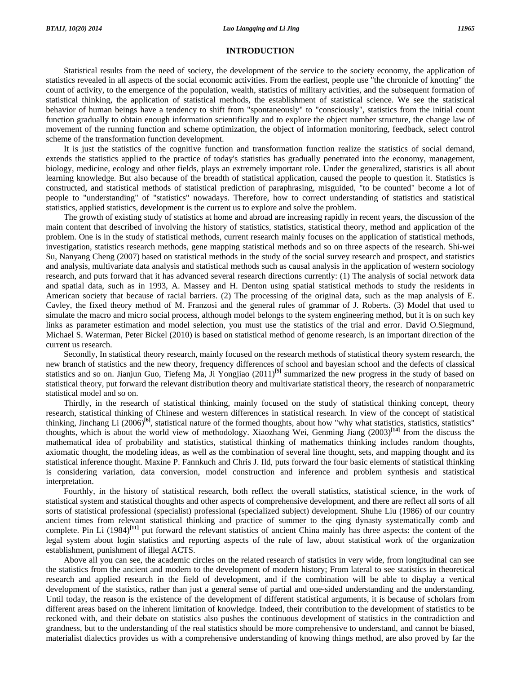## **INTRODUCTION**

Statistical results from the need of society, the development of the service to the society economy, the application of statistics revealed in all aspects of the social economic activities. From the earliest, people use "the chronicle of knotting" the count of activity, to the emergence of the population, wealth, statistics of military activities, and the subsequent formation of statistical thinking, the application of statistical methods, the establishment of statistical science. We see the statistical behavior of human beings have a tendency to shift from "spontaneously" to "consciously", statistics from the initial count function gradually to obtain enough information scientifically and to explore the object number structure, the change law of movement of the running function and scheme optimization, the object of information monitoring, feedback, select control scheme of the transformation function development.

It is just the statistics of the cognitive function and transformation function realize the statistics of social demand, extends the statistics applied to the practice of today's statistics has gradually penetrated into the economy, management, biology, medicine, ecology and other fields, plays an extremely important role. Under the generalized, statistics is all about learning knowledge. But also because of the breadth of statistical application, caused the people to question it. Statistics is constructed, and statistical methods of statistical prediction of paraphrasing, misguided, "to be counted" become a lot of people to "understanding" of "statistics" nowadays. Therefore, how to correct understanding of statistics and statistical statistics, applied statistics, development is the current us to explore and solve the problem.

The growth of existing study of statistics at home and abroad are increasing rapidly in recent years, the discussion of the main content that described of involving the history of statistics, statistics, statistical theory, method and application of the problem. One is in the study of statistical methods, current research mainly focuses on the application of statistical methods, investigation, statistics research methods, gene mapping statistical methods and so on three aspects of the research. Shi-wei Su, Nanyang Cheng (2007) based on statistical methods in the study of the social survey research and prospect, and statistics and analysis, multivariate data analysis and statistical methods such as causal analysis in the application of western sociology research, and puts forward that it has advanced several research directions currently: (1) The analysis of social network data and spatial data, such as in 1993, A. Massey and H. Denton using spatial statistical methods to study the residents in American society that because of racial barriers. (2) The processing of the original data, such as the map analysis of E. Cavley, the fixed theory method of M. Franzosi and the general rules of grammar of J. Roberts. (3) Model that used to simulate the macro and micro social process, although model belongs to the system engineering method, but it is on such key links as parameter estimation and model selection, you must use the statistics of the trial and error. David O.Siegmund, Michael S. Waterman, Peter Bickel (2010) is based on statistical method of genome research, is an important direction of the current us research.

Secondly, In statistical theory research, mainly focused on the research methods of statistical theory system research, the new branch of statistics and the new theory, frequency differences of school and bayesian school and the defects of classical statistics and so on. Jianjun Guo, Tiefeng Ma, Ji Yongjiao (2011)**[5]** summarized the new progress in the study of based on statistical theory, put forward the relevant distribution theory and multivariate statistical theory, the research of nonparametric statistical model and so on.

Thirdly, in the research of statistical thinking, mainly focused on the study of statistical thinking concept, theory research, statistical thinking of Chinese and western differences in statistical research. In view of the concept of statistical thinking, Jinchang Li (2006)**[6]**, statistical nature of the formed thoughts, about how "why what statistics, statistics, statistics" thoughts, which is about the world view of methodology. Xiaozhang Wei, Genming Jiang (2003)**[14]** from the discuss the mathematical idea of probability and statistics, statistical thinking of mathematics thinking includes random thoughts, axiomatic thought, the modeling ideas, as well as the combination of several line thought, sets, and mapping thought and its statistical inference thought. Maxine P. Fannkuch and Chris J. Ild, puts forward the four basic elements of statistical thinking is considering variation, data conversion, model construction and inference and problem synthesis and statistical interpretation.

Fourthly, in the history of statistical research, both reflect the overall statistics, statistical science, in the work of statistical system and statistical thoughts and other aspects of comprehensive development, and there are reflect all sorts of all sorts of statistical professional (specialist) professional (specialized subject) development. Shuhe Liu (1986) of our country ancient times from relevant statistical thinking and practice of summer to the qing dynasty systematically comb and complete. Pin Li (1984)<sup>[11]</sup> put forward the relevant statistics of ancient China mainly has three aspects: the content of the legal system about login statistics and reporting aspects of the rule of law, about statistical work of the organization establishment, punishment of illegal ACTS.

Above all you can see, the academic circles on the related research of statistics in very wide, from longitudinal can see the statistics from the ancient and modern to the development of modern history; From lateral to see statistics in theoretical research and applied research in the field of development, and if the combination will be able to display a vertical development of the statistics, rather than just a general sense of partial and one-sided understanding and the understanding. Until today, the reason is the existence of the development of different statistical arguments, it is because of scholars from different areas based on the inherent limitation of knowledge. Indeed, their contribution to the development of statistics to be reckoned with, and their debate on statistics also pushes the continuous development of statistics in the contradiction and grandness, but to the understanding of the real statistics should be more comprehensive to understand, and cannot be biased, materialist dialectics provides us with a comprehensive understanding of knowing things method, are also proved by far the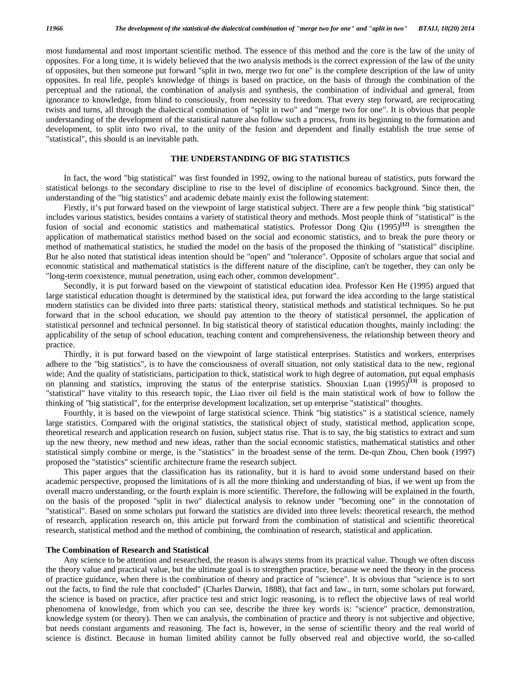most fundamental and most important scientific method. The essence of this method and the core is the law of the unity of opposites. For a long time, it is widely believed that the two analysis methods is the correct expression of the law of the unity of opposites, but then someone put forward "split in two, merge two for one" is the complete description of the law of unity opposites. In real life, people's knowledge of things is based on practice, on the basis of through the combination of the perceptual and the rational, the combination of analysis and synthesis, the combination of individual and general, from ignorance to knowledge, from blind to consciously, from necessity to freedom. That every step forward, are reciprocating twists and turns, all through the dialectical combination of "split in two" and "merge two for one". It is obvious that people understanding of the development of the statistical nature also follow such a process, from its beginning to the formation and development, to split into two rival, to the unity of the fusion and dependent and finally establish the true sense of "statistical", this should is an inevitable path.

## **THE UNDERSTANDING OF BIG STATISTICS**

In fact, the word "big statistical" was first founded in 1992, owing to the national bureau of statistics, puts forward the statistical belongs to the secondary discipline to rise to the level of discipline of economics background. Since then, the understanding of the "big statistics" and academic debate mainly exist the following statement:

Firstly, it's put forward based on the viewpoint of large statistical subject. There are a few people think "big statistical" includes various statistics, besides contains a variety of statistical theory and methods. Most people think of "statistical" is the fusion of social and economic statistics and mathematical statistics. Professor Dong Qiu (1995)<sup>[12]</sup> is strengthen the application of mathematical statistics method based on the social and economic statistics, and to break the pure theory or method of mathematical statistics, he studied the model on the basis of the proposed the thinking of "statistical" discipline. But he also noted that statistical ideas intention should be "open" and "tolerance". Opposite of scholars argue that social and economic statistical and mathematical statistics is the different nature of the discipline, can't be together, they can only be "long-term coexistence, mutual penetration, using each other, common development".

Secondly, it is put forward based on the viewpoint of statistical education idea. Professor Ken He (1995) argued that large statistical education thought is determined by the statistical idea, put forward the idea according to the large statistical modern statistics can be divided into three parts: statistical theory, statistical methods and statistical techniques. So he put forward that in the school education, we should pay attention to the theory of statistical personnel, the application of statistical personnel and technical personnel. In big statistical theory of statistical education thoughts, mainly including: the applicability of the setup of school education, teaching content and comprehensiveness, the relationship between theory and practice.

Thirdly, it is put forward based on the viewpoint of large statistical enterprises. Statistics and workers, enterprises adhere to the "big statistics", is to have the consciousness of overall situation, not only statistical data to the new, regional wide; And the quality of statisticians, participation to thick, statistical work to high degree of automation, put equal emphasis on planning and statistics, improving the status of the enterprise statistics. Shouxian Luan (1995)**[13]** is proposed to "statistical" have vitality to this research topic, the Liao river oil field is the main statistical work of how to follow the thinking of "big statistical", for the enterprise development localization, set up enterprise "statistical" thoughts.

Fourthly, it is based on the viewpoint of large statistical science. Think "big statistics" is a statistical science, namely large statistics. Compared with the original statistics, the statistical object of study, statistical method, application scope, theoretical research and application research on fusion, subject status rise. That is to say, the big statistics to extract and sum up the new theory, new method and new ideas, rather than the social economic statistics, mathematical statistics and other statistical simply combine or merge, is the "statistics" in the broadest sense of the term. De-qun Zhou, Chen book (1997) proposed the "statistics" scientific architecture frame the research subject.

This paper argues that the classification has its rationality, but it is hard to avoid some understand based on their academic perspective, proposed the limitations of is all the more thinking and understanding of bias, if we went up from the overall macro understanding, or the fourth explain is more scientific. Therefore, the following will be explained in the fourth, on the basis of the proposed "split in two" dialectical analysis to reknow under "becoming one" in the connotation of "statistical". Based on some scholars put forward the statistics are divided into three levels: theoretical research, the method of research, application research on, this article put forward from the combination of statistical and scientific theoretical research, statistical method and the method of combining, the combination of research, statistical and application.

#### **The Combination of Research and Statistical**

Any science to be attention and researched, the reason is always stems from its practical value. Though we often discuss the theory value and practical value, but the ultimate goal is to strengthen practice, because we need the theory in the process of practice guidance, when there is the combination of theory and practice of "science". It is obvious that "science is to sort out the facts, to find the rule that concluded" (Charles Darwin, 1888), that fact and law., in turn, some scholars put forward, the science is based on practice, after practice test and strict logic reasoning, is to reflect the objective laws of real world phenomena of knowledge, from which you can see, describe the three key words is: "science" practice, demonstration, knowledge system (or theory). Then we can analysis, the combination of practice and theory is not subjective and objective, but needs constant arguments and reasoning. The fact is, however, in the sense of scientific theory and the real world of science is distinct. Because in human limited ability cannot be fully observed real and objective world, the so-called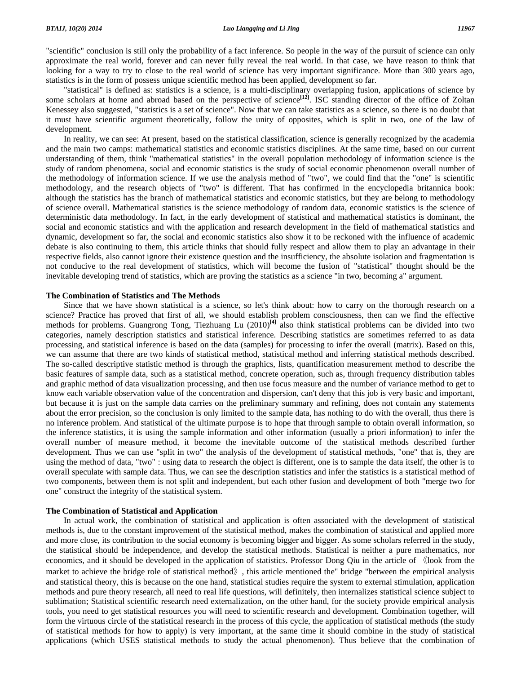"scientific" conclusion is still only the probability of a fact inference. So people in the way of the pursuit of science can only approximate the real world, forever and can never fully reveal the real world. In that case, we have reason to think that looking for a way to try to close to the real world of science has very important significance. More than 300 years ago, statistics is in the form of possess unique scientific method has been applied, development so far.

"statistical" is defined as: statistics is a science, is a multi-disciplinary overlapping fusion, applications of science by some scholars at home and abroad based on the perspective of science<sup>[12]</sup>. ISC standing director of the office of Zoltan Kenessey also suggested, "statistics is a set of science". Now that we can take statistics as a science, so there is no doubt that it must have scientific argument theoretically, follow the unity of opposites, which is split in two, one of the law of development.

In reality, we can see: At present, based on the statistical classification, science is generally recognized by the academia and the main two camps: mathematical statistics and economic statistics disciplines. At the same time, based on our current understanding of them, think "mathematical statistics" in the overall population methodology of information science is the study of random phenomena, social and economic statistics is the study of social economic phenomenon overall number of the methodology of information science. If we use the analysis method of "two", we could find that the "one" is scientific methodology, and the research objects of "two" is different. That has confirmed in the encyclopedia britannica book: although the statistics has the branch of mathematical statistics and economic statistics, but they are belong to methodology of science overall. Mathematical statistics is the science methodology of random data, economic statistics is the science of deterministic data methodology. In fact, in the early development of statistical and mathematical statistics is dominant, the social and economic statistics and with the application and research development in the field of mathematical statistics and dynamic, development so far, the social and economic statistics also show it to be reckoned with the influence of academic debate is also continuing to them, this article thinks that should fully respect and allow them to play an advantage in their respective fields, also cannot ignore their existence question and the insufficiency, the absolute isolation and fragmentation is not conducive to the real development of statistics, which will become the fusion of "statistical" thought should be the inevitable developing trend of statistics, which are proving the statistics as a science "in two, becoming a" argument.

### **The Combination of Statistics and The Methods**

Since that we have shown statistical is a science, so let's think about: how to carry on the thorough research on a science? Practice has proved that first of all, we should establish problem consciousness, then can we find the effective methods for problems. Guangrong Tong, Tiezhuang Lu (2010)**[4]** also think statistical problems can be divided into two categories, namely description statistics and statistical inference. Describing statistics are sometimes referred to as data processing, and statistical inference is based on the data (samples) for processing to infer the overall (matrix). Based on this, we can assume that there are two kinds of statistical method, statistical method and inferring statistical methods described. The so-called descriptive statistic method is through the graphics, lists, quantification measurement method to describe the basic features of sample data, such as a statistical method, concrete operation, such as, through frequency distribution tables and graphic method of data visualization processing, and then use focus measure and the number of variance method to get to know each variable observation value of the concentration and dispersion, can't deny that this job is very basic and important, but because it is just on the sample data carries on the preliminary summary and refining, does not contain any statements about the error precision, so the conclusion is only limited to the sample data, has nothing to do with the overall, thus there is no inference problem. And statistical of the ultimate purpose is to hope that through sample to obtain overall information, so the inference statistics, it is using the sample information and other information (usually a priori information) to infer the overall number of measure method, it become the inevitable outcome of the statistical methods described further development. Thus we can use "split in two" the analysis of the development of statistical methods, "one" that is, they are using the method of data, "two" : using data to research the object is different, one is to sample the data itself, the other is to overall speculate with sample data. Thus, we can see the description statistics and infer the statistics is a statistical method of two components, between them is not split and independent, but each other fusion and development of both "merge two for one" construct the integrity of the statistical system.

## **The Combination of Statistical and Application**

In actual work, the combination of statistical and application is often associated with the development of statistical methods is, due to the constant improvement of the statistical method, makes the combination of statistical and applied more and more close, its contribution to the social economy is becoming bigger and bigger. As some scholars referred in the study, the statistical should be independence, and develop the statistical methods. Statistical is neither a pure mathematics, nor economics, and it should be developed in the application of statistics. Professor Dong Qiu in the article of 《look from the market to achieve the bridge role of statistical method》, this article mentioned the" bridge "between the empirical analysis and statistical theory, this is because on the one hand, statistical studies require the system to external stimulation, application methods and pure theory research, all need to real life questions, will definitely, then internalizes statistical science subject to sublimation; Statistical scientific research need externalization, on the other hand, for the society provide empirical analysis tools, you need to get statistical resources you will need to scientific research and development. Combination together, will form the virtuous circle of the statistical research in the process of this cycle, the application of statistical methods (the study of statistical methods for how to apply) is very important, at the same time it should combine in the study of statistical applications (which USES statistical methods to study the actual phenomenon). Thus believe that the combination of